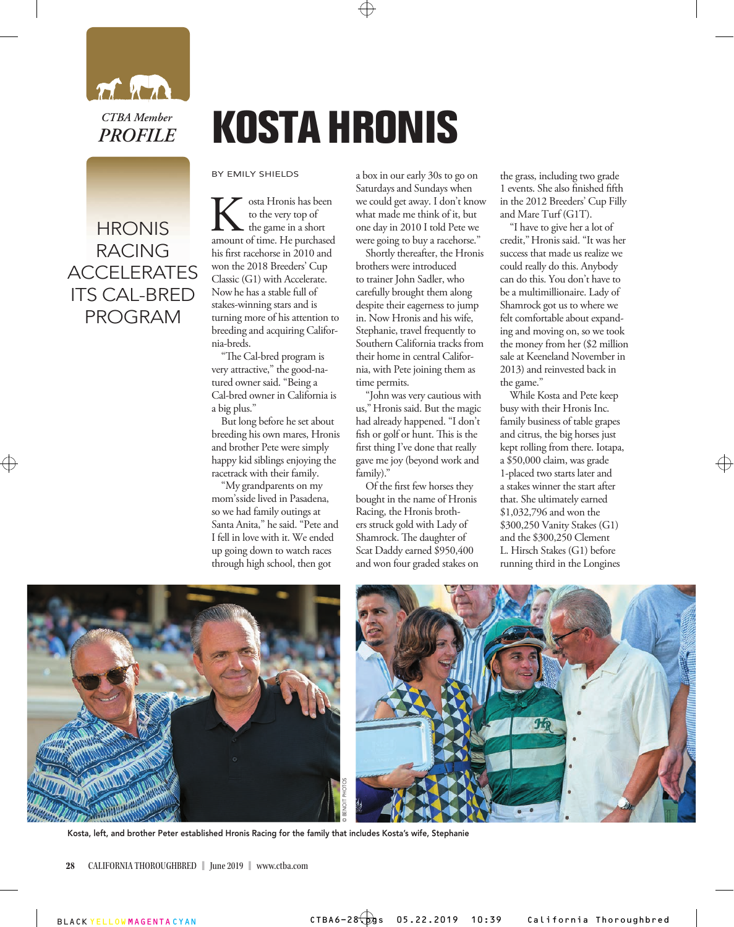

## **HRONIS** RACING ACCELERATES ITS CAL-BRED PROGRAM

## **KOSTA HRONIS**

BY EMILY SHIELDS

**K** osta Hronis has been<br>to the very top of<br>amount of time. He purchased to the very top of the game in a short his first racehorse in 2010 and won the 2018 Breeders' Cup Classic (G1) with Accelerate. Now he has a stable full of stakes-winning stars and is turning more of his attention to breeding and acquiring California-breds.

"The Cal-bred program is very attractive," the good-natured owner said. "Being a Cal-bred owner in California is a big plus."

But long before he set about breeding his own mares, Hronis and brother Pete were simply happy kid siblings enjoying the racetrack with their family.

"My grandparents on my mom's side lived in Pasadena, so we had family outings at Santa Anita," he said. "Pete and I fell in love with it. We ended up going down to watch races through high school, then got

a box in our early 30s to go on Saturdays and Sundays when we could get away. I don't know what made me think of it, but one day in 2010 I told Pete we were going to buy a racehorse."

Shortly thereafter, the Hronis brothers were introduced to trainer John Sadler, who carefully brought them along despite their eagerness to jump in. Now Hronis and his wife, Stephanie, travel frequently to Southern California tracks from their home in central California, with Pete joining them as time permits.

"John was very cautious with us," Hronis said. But the magic had already happened. "I don't fish or golf or hunt. This is the first thing I've done that really gave me joy (beyond work and family)."

Of the first few horses they bought in the name of Hronis Racing, the Hronis brothers struck gold with Lady of Shamrock. The daughter of Scat Daddy earned \$950,400 and won four graded stakes on the grass, including two grade 1 events. She also finished fifth in the 2012 Breeders' Cup Filly and Mare Turf (G1T).

"I have to give her a lot of credit," Hronis said. "It was her success that made us realize we could really do this. Anybody can do this. You don't have to be a multimillionaire. Lady of Shamrock got us to where we felt comfortable about expanding and moving on, so we took the money from her (\$2 million sale at Keeneland November in 2013) and reinvested back in the game."

While Kosta and Pete keep busy with their Hronis Inc. family business of table grapes and citrus, the big horses just kept rolling from there. Iotapa, a \$50,000 claim, was grade 1-placed two starts later and a stakes winner the start after that. She ultimately earned \$1,032,796 and won the \$300,250 Vanity Stakes (G1) and the \$300,250 Clement L. Hirsch Stakes (G1) before running third in the Longines



Kosta, left, and brother Peter established Hronis Racing for the family that includes Kosta's wife, Stephanie